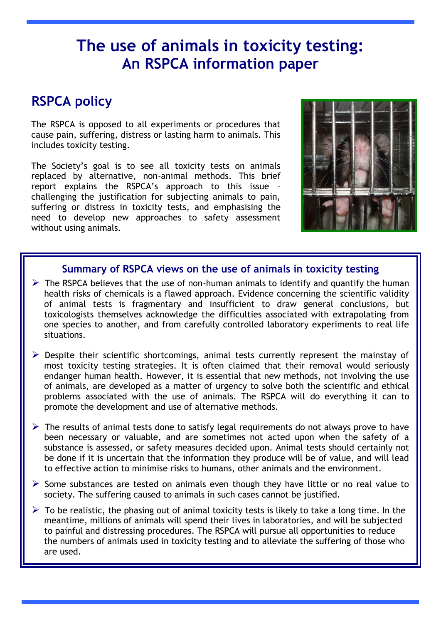# **The use of animals in toxicity testing: An RSPCA information paper**

# **RSPCA policy**

The RSPCA is opposed to all experiments or procedures that cause pain, suffering, distress or lasting harm to animals. This includes toxicity testing.

The Society's goal is to see all toxicity tests on animals replaced by alternative, non-animal methods. This brief report explains the RSPCA's approach to this issue challenging the justification for subjecting animals to pain, suffering or distress in toxicity tests, and emphasising the need to develop new approaches to safety assessment without using animals.



### **Summary of RSPCA views on the use of animals in toxicity testing**

- $\triangleright$  The RSPCA believes that the use of non-human animals to identify and quantify the human health risks of chemicals is a flawed approach. Evidence concerning the scientific validity of animal tests is fragmentary and insufficient to draw general conclusions, but toxicologists themselves acknowledge the difficulties associated with extrapolating from one species to another, and from carefully controlled laboratory experiments to real life situations.
- Despite their scientific shortcomings, animal tests currently represent the mainstay of most toxicity testing strategies. It is often claimed that their removal would seriously endanger human health. However, it is essential that new methods, not involving the use of animals, are developed as a matter of urgency to solve both the scientific and ethical problems associated with the use of animals. The RSPCA will do everything it can to promote the development and use of alternative methods.
- $\triangleright$  The results of animal tests done to satisfy legal requirements do not always prove to have been necessary or valuable, and are sometimes not acted upon when the safety of a substance is assessed, or safety measures decided upon. Animal tests should certainly not be done if it is uncertain that the information they produce will be of value, and will lead to effective action to minimise risks to humans, other animals and the environment.
- $\triangleright$  Some substances are tested on animals even though they have little or no real value to society. The suffering caused to animals in such cases cannot be justified.
- $\triangleright$  To be realistic, the phasing out of animal toxicity tests is likely to take a long time. In the meantime, millions of animals will spend their lives in laboratories, and will be subjected to painful and distressing procedures. The RSPCA will pursue all opportunities to reduce the numbers of animals used in toxicity testing and to alleviate the suffering of those who are used.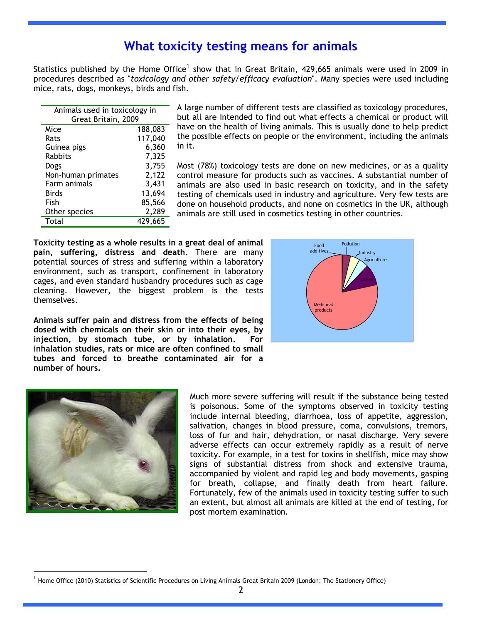## **What toxicity testing means for animals**

Statistics published by the Home Office<sup>1</sup> show that in Great Britain, 429,665 animals were used in 2009 in procedures described as "*toxicology and other safety/efficacy evaluation*". Many species were used including mice, rats, dogs, monkeys, birds and fish.

| Animals used in toxicology in |         |
|-------------------------------|---------|
| Great Britain, 2009           |         |
| Mice                          | 188,083 |
| Rats                          | 117,040 |
| Guinea pigs                   | 6,360   |
| <b>Rabbits</b>                | 7,325   |
| Dogs                          | 3,755   |
| Non-human primates            | 2,122   |
| Farm animals                  | 3,431   |
| Birds                         | 13,694  |
| Fish                          | 85,566  |
| Other species                 | 2,289   |
| Total                         | 429,665 |

A large number of different tests are classified as toxicology procedures, but all are intended to find out what effects a chemical or product will have on the health of living animals. This is usually done to help predict the possible effects on people or the environment, including the animals in it.

Most (78%) toxicology tests are done on new medicines, or as a quality control measure for products such as vaccines. A substantial number of animals are also used in basic research on toxicity, and in the safety testing of chemicals used in industry and agriculture. Very few tests are done on household products, and none on cosmetics in the UK, although animals are still used in cosmetics testing in other countries.

**Toxicity testing as a whole results in a great deal of animal pain, suffering, distress and death.** There are many potential sources of stress and suffering within a laboratory environment, such as transport, confinement in laboratory cages, and even standard husbandry procedures such as cage cleaning. However, the biggest problem is the tests themselves.



**Animals suffer pain and distress from the effects of being dosed with chemicals on their skin or into their eyes, by injection, by stomach tube, or by inhalation. For inhalation studies, rats or mice are often confined to small tubes and forced to breathe contaminated air for a number of hours.**



 $\overline{a}$ 

Much more severe suffering will result if the substance being tested is poisonous. Some of the symptoms observed in toxicity testing include internal bleeding, diarrhoea, loss of appetite, aggression, salivation, changes in blood pressure, coma, convulsions, tremors, loss of fur and hair, dehydration, or nasal discharge. Very severe adverse effects can occur extremely rapidly as a result of nerve toxicity. For example, in a test for toxins in shellfish, mice may show signs of substantial distress from shock and extensive trauma, accompanied by violent and rapid leg and body movements, gasping for breath, collapse, and finally death from heart failure. Fortunately, few of the animals used in toxicity testing suffer to such an extent, but almost all animals are killed at the end of testing, for post mortem examination.

<sup>1</sup> Home Office (2010) Statistics of Scientific Procedures on Living Animals Great Britain 2009 (London: The Stationery Office)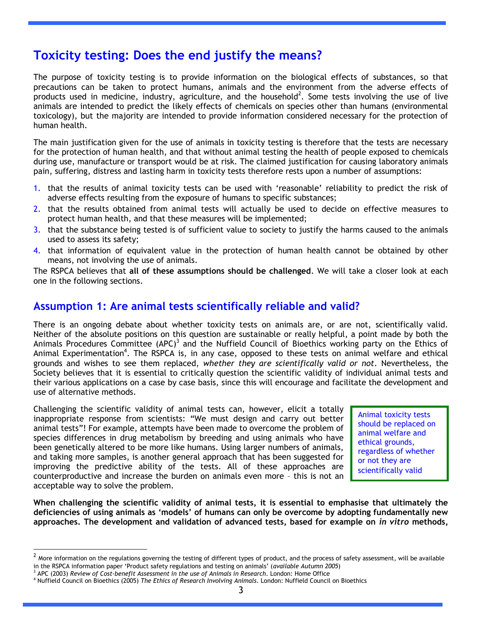## **Toxicity testing: Does the end justify the means?**

The purpose of toxicity testing is to provide information on the biological effects of substances, so that precautions can be taken to protect humans, animals and the environment from the adverse effects of products used in medicine, industry, agriculture, and the household<sup>2</sup>. Some tests involving the use of live animals are intended to predict the likely effects of chemicals on species other than humans (environmental toxicology), but the majority are intended to provide information considered necessary for the protection of human health.

The main justification given for the use of animals in toxicity testing is therefore that the tests are necessary for the protection of human health, and that without animal testing the health of people exposed to chemicals during use, manufacture or transport would be at risk. The claimed justification for causing laboratory animals pain, suffering, distress and lasting harm in toxicity tests therefore rests upon a number of assumptions:

- 1. that the results of animal toxicity tests can be used with "reasonable" reliability to predict the risk of adverse effects resulting from the exposure of humans to specific substances;
- 2. that the results obtained from animal tests will actually be used to decide on effective measures to protect human health, and that these measures will be implemented;
- 3. that the substance being tested is of sufficient value to society to justify the harms caused to the animals used to assess its safety;
- 4. that information of equivalent value in the protection of human health cannot be obtained by other means, not involving the use of animals.

The RSPCA believes that **all of these assumptions should be challenged**. We will take a closer look at each one in the following sections.

### **Assumption 1: Are animal tests scientifically reliable and valid?**

There is an ongoing debate about whether toxicity tests on animals are, or are not, scientifically valid. Neither of the absolute positions on this question are sustainable or really helpful, a point made by both the Animals Procedures Committee (APC)<sup>3</sup> and the Nuffield Council of Bioethics working party on the Ethics of Animal Experimentation<sup>4</sup>. The RSPCA is, in any case, opposed to these tests on animal welfare and ethical grounds and wishes to see them replaced, *whether they are scientifically valid or not*. Nevertheless, the Society believes that it is essential to critically question the scientific validity of individual animal tests and their various applications on a case by case basis, since this will encourage and facilitate the development and use of alternative methods.

Challenging the scientific validity of animal tests can, however, elicit a totally inappropriate response from scientists: "We must design and carry out better animal tests"! For example, attempts have been made to overcome the problem of species differences in drug metabolism by breeding and using animals who have been genetically altered to be more like humans. Using larger numbers of animals, and taking more samples, is another general approach that has been suggested for improving the predictive ability of the tests. All of these approaches are counterproductive and increase the burden on animals even more – this is not an acceptable way to solve the problem.

Animal toxicity tests should be replaced on animal welfare and ethical grounds, regardless of whether or not they are scientifically valid

**When challenging the scientific validity of animal tests, it is essential to emphasise that ultimately the deficiencies of using animals as 'models' of humans can only be overcome by adopting fundamentally new approaches. The development and validation of advanced tests, based for example on** *in vitro* **methods,** 

 $\overline{a}$ 

 $^2$  More information on the regulations governing the testing of different types of product, and the process of safety assessment, will be available in the RSPCA information paper "Product safety regulations and testing on animals" (*available Autumn 2005*)

<sup>3</sup> APC (2003) *Review of Cost-benefit Assessment in the use of Animals in Research*. London: Home Office

<sup>4</sup> Nuffield Council on Bioethics (2005) *The Ethics of Research Involving Animals.* London: Nuffield Council on Bioethics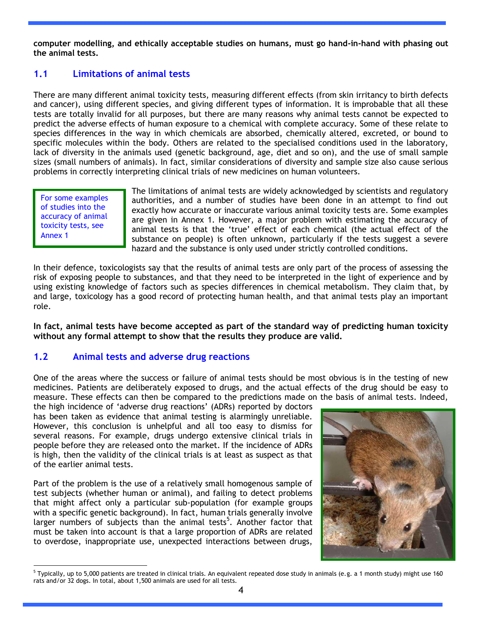**computer modelling, and ethically acceptable studies on humans, must go hand-in-hand with phasing out the animal tests.**

#### **1.1 Limitations of animal tests**

There are many different animal toxicity tests, measuring different effects (from skin irritancy to birth defects and cancer), using different species, and giving different types of information. It is improbable that all these tests are totally invalid for all purposes, but there are many reasons why animal tests cannot be expected to predict the adverse effects of human exposure to a chemical with complete accuracy. Some of these relate to species differences in the way in which chemicals are absorbed, chemically altered, excreted, or bound to specific molecules within the body. Others are related to the specialised conditions used in the laboratory, lack of diversity in the animals used (genetic background, age, diet and so on), and the use of small sample sizes (small numbers of animals). In fact, similar considerations of diversity and sample size also cause serious problems in correctly interpreting clinical trials of new medicines on human volunteers.

For some examples of studies into the accuracy of animal toxicity tests, see Annex 1

The limitations of animal tests are widely acknowledged by scientists and regulatory authorities, and a number of studies have been done in an attempt to find out exactly how accurate or inaccurate various animal toxicity tests are. Some examples are given in Annex 1. However, a major problem with estimating the accuracy of animal tests is that the 'true' effect of each chemical (the actual effect of the substance on people) is often unknown, particularly if the tests suggest a severe hazard and the substance is only used under strictly controlled conditions.

In their defence, toxicologists say that the results of animal tests are only part of the process of assessing the risk of exposing people to substances, and that they need to be interpreted in the light of experience and by using existing knowledge of factors such as species differences in chemical metabolism. They claim that, by and large, toxicology has a good record of protecting human health, and that animal tests play an important role.

**In fact, animal tests have become accepted as part of the standard way of predicting human toxicity without any formal attempt to show that the results they produce are valid.**

#### **1.2 Animal tests and adverse drug reactions**

One of the areas where the success or failure of animal tests should be most obvious is in the testing of new medicines. Patients are deliberately exposed to drugs, and the actual effects of the drug should be easy to measure. These effects can then be compared to the predictions made on the basis of animal tests. Indeed,

the high incidence of "adverse drug reactions" (ADRs) reported by doctors has been taken as evidence that animal testing is alarmingly unreliable. However, this conclusion is unhelpful and all too easy to dismiss for several reasons. For example, drugs undergo extensive clinical trials in people before they are released onto the market. If the incidence of ADRs is high, then the validity of the clinical trials is at least as suspect as that of the earlier animal tests.

Part of the problem is the use of a relatively small homogenous sample of test subjects (whether human or animal), and failing to detect problems that might affect only a particular sub-population (for example groups with a specific genetic background). In fact, human trials generally involve larger numbers of subjects than the animal tests<sup>5</sup>. Another factor that must be taken into account is that a large proportion of ADRs are related to overdose, inappropriate use, unexpected interactions between drugs,



 $\overline{a}$  $5$  Typically, up to 5,000 patients are treated in clinical trials. An equivalent repeated dose study in animals (e.g. a 1 month study) might use 160 rats and/or 32 dogs. In total, about 1,500 animals are used for all tests.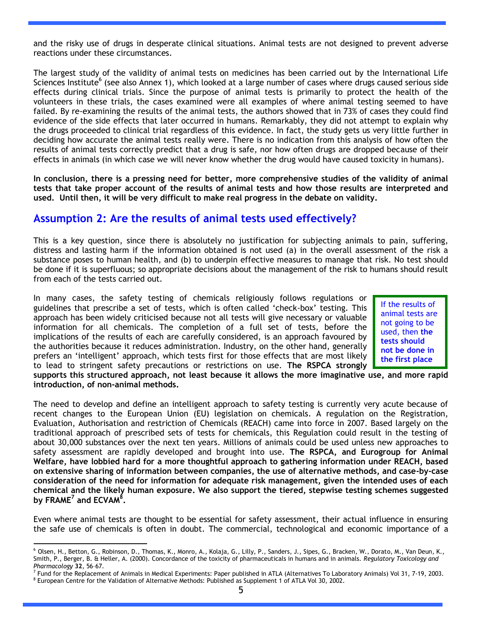and the risky use of drugs in desperate clinical situations. Animal tests are not designed to prevent adverse reactions under these circumstances.

The largest study of the validity of animal tests on medicines has been carried out by the International Life Sciences Institute<sup>6</sup> (see also Annex 1), which looked at a large number of cases where drugs caused serious side effects during clinical trials. Since the purpose of animal tests is primarily to protect the health of the volunteers in these trials, the cases examined were all examples of where animal testing seemed to have failed. By re-examining the results of the animal tests, the authors showed that in 73% of cases they could find evidence of the side effects that later occurred in humans. Remarkably, they did not attempt to explain why the drugs proceeded to clinical trial regardless of this evidence. In fact, the study gets us very little further in deciding how accurate the animal tests really were. There is no indication from this analysis of how often the results of animal tests correctly predict that a drug is safe, nor how often drugs are dropped because of their effects in animals (in which case we will never know whether the drug would have caused toxicity in humans).

**In conclusion, there is a pressing need for better, more comprehensive studies of the validity of animal tests that take proper account of the results of animal tests and how those results are interpreted and used. Until then, it will be very difficult to make real progress in the debate on validity.**

#### **Assumption 2: Are the results of animal tests used effectively?**

This is a key question, since there is absolutely no justification for subjecting animals to pain, suffering, distress and lasting harm if the information obtained is not used (a) in the overall assessment of the risk a substance poses to human health, and (b) to underpin effective measures to manage that risk. No test should be done if it is superfluous; so appropriate decisions about the management of the risk to humans should result from each of the tests carried out.

In many cases, the safety testing of chemicals religiously follows regulations or guidelines that prescribe a set of tests, which is often called "check-box" testing. This approach has been widely criticised because not all tests will give necessary or valuable information for all chemicals. The completion of a full set of tests, before the implications of the results of each are carefully considered, is an approach favoured by the authorities because it reduces administration. Industry, on the other hand, generally prefers an "intelligent" approach, which tests first for those effects that are most likely to lead to stringent safety precautions or restrictions on use. **The RSPCA strongly** 

If the results of animal tests are not going to be used, then **the tests should not be done in the first place**

**supports this structured approach, not least because it allows the more imaginative use, and more rapid introduction, of non-animal methods.**

The need to develop and define an intelligent approach to safety testing is currently very acute because of recent changes to the European Union (EU) legislation on chemicals. A regulation on the Registration, Evaluation, Authorisation and restriction of Chemicals (REACH) came into force in 2007. Based largely on the traditional approach of prescribed sets of tests for chemicals, this Regulation could result in the testing of about 30,000 substances over the next ten years. Millions of animals could be used unless new approaches to safety assessment are rapidly developed and brought into use. **The RSPCA, and Eurogroup for Animal Welfare, have lobbied hard for a more thoughtful approach to gathering information under REACH, based on extensive sharing of information between companies, the use of alternative methods, and case-by-case consideration of the need for information for adequate risk management, given the intended uses of each chemical and the likely human exposure. We also support the tiered, stepwise testing schemes suggested by FRAME<sup>7</sup> and ECVAM<sup>8</sup> .**

Even where animal tests are thought to be essential for safety assessment, their actual influence in ensuring the safe use of chemicals is often in doubt. The commercial, technological and economic importance of a

 $\overline{a}$ 

<sup>6</sup> Olsen, H., Betton, G., Robinson, D., Thomas, K., Monro, A., Kolaja, G., Lilly, P., Sanders, J., Sipes, G., Bracken, W., Dorato, M., Van Deun, K., Smith, P., Berger, B. & Heller, A. (2000). Concordance of the toxicity of pharmaceuticals in humans and in animals. *Regulatory Toxicology and Pharmacology* **32**, 56–67.

<sup>&</sup>lt;sup>7</sup> Fund for the Replacement of Animals in Medical Experiments: Paper published in ATLA (Alternatives To Laboratory Animals) Vol 31, 7-19, 2003. <sup>8</sup> European Centre for the Validation of Alternative Methods: Published as Supplement 1 of ATLA Vol 30, 2002.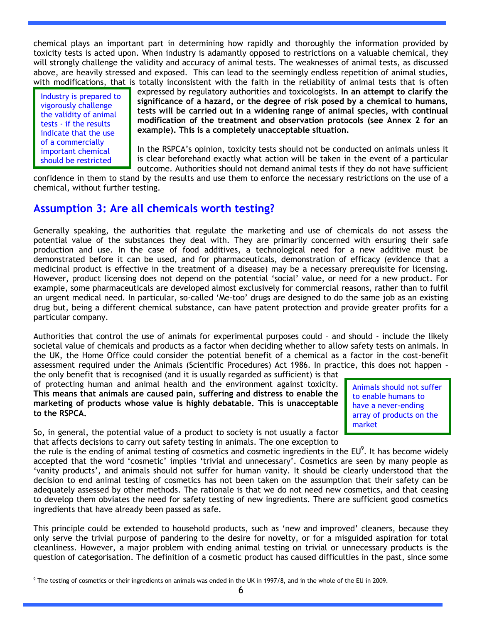chemical plays an important part in determining how rapidly and thoroughly the information provided by toxicity tests is acted upon. When industry is adamantly opposed to restrictions on a valuable chemical, they will strongly challenge the validity and accuracy of animal tests. The weaknesses of animal tests, as discussed above, are heavily stressed and exposed. This can lead to the seemingly endless repetition of animal studies, with modifications, that is totally inconsistent with the faith in the reliability of animal tests that is often

Industry is prepared to vigorously challenge the validity of animal tests - if the results indicate that the use of a commercially important chemical should be restricted

expressed by regulatory authorities and toxicologists. **In an attempt to clarify the significance of a hazard, or the degree of risk posed by a chemical to humans, tests will be carried out in a widening range of animal species, with continual modification of the treatment and observation protocols (see Annex 2 for an example). This is a completely unacceptable situation.**

In the RSPCA"s opinion, toxicity tests should not be conducted on animals unless it is clear beforehand exactly what action will be taken in the event of a particular outcome. Authorities should not demand animal tests if they do not have sufficient

confidence in them to stand by the results and use them to enforce the necessary restrictions on the use of a chemical, without further testing.

### **Assumption 3: Are all chemicals worth testing?**

Generally speaking, the authorities that regulate the marketing and use of chemicals do not assess the potential value of the substances they deal with. They are primarily concerned with ensuring their safe production and use. In the case of food additives, a technological need for a new additive must be demonstrated before it can be used, and for pharmaceuticals, demonstration of efficacy (evidence that a medicinal product is effective in the treatment of a disease) may be a necessary prerequisite for licensing. However, product licensing does not depend on the potential "social" value, or need for a new product. For example, some pharmaceuticals are developed almost exclusively for commercial reasons, rather than to fulfil an urgent medical need. In particular, so-called "Me-too" drugs are designed to do the same job as an existing drug but, being a different chemical substance, can have patent protection and provide greater profits for a particular company.

Authorities that control the use of animals for experimental purposes could – and should - include the likely societal value of chemicals and products as a factor when deciding whether to allow safety tests on animals. In the UK, the Home Office could consider the potential benefit of a chemical as a factor in the cost-benefit assessment required under the Animals (Scientific Procedures) Act 1986. In practice, this does not happen –

the only benefit that is recognised (and it is usually regarded as sufficient) is that of protecting human and animal health and the environment against toxicity. **This means that animals are caused pain, suffering and distress to enable the marketing of products whose value is highly debatable. This is unacceptable to the RSPCA.**

Animals should not suffer to enable humans to have a never-ending array of products on the market

So, in general, the potential value of a product to society is not usually a factor that affects decisions to carry out safety testing in animals. The one exception to

the rule is the ending of animal testing of cosmetics and cosmetic ingredients in the EU<sup>9</sup>. It has become widely accepted that the word 'cosmetic' implies 'trivial and unnecessary'. Cosmetics are seen by many people as "vanity products", and animals should not suffer for human vanity. It should be clearly understood that the decision to end animal testing of cosmetics has not been taken on the assumption that their safety can be adequately assessed by other methods. The rationale is that we do not need new cosmetics, and that ceasing to develop them obviates the need for safety testing of new ingredients. There are sufficient good cosmetics ingredients that have already been passed as safe.

This principle could be extended to household products, such as 'new and improved' cleaners, because they only serve the trivial purpose of pandering to the desire for novelty, or for a misguided aspiration for total cleanliness. However, a major problem with ending animal testing on trivial or unnecessary products is the question of categorisation. The definition of a cosmetic product has caused difficulties in the past, since some

 $\overline{a}$  $9$  The testing of cosmetics or their ingredients on animals was ended in the UK in 1997/8, and in the whole of the EU in 2009.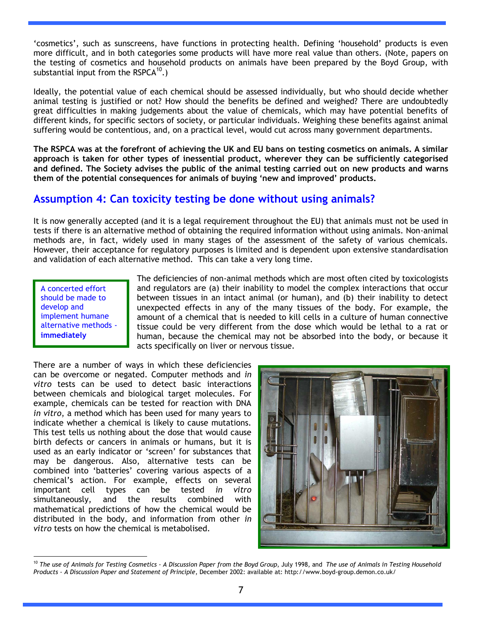"cosmetics", such as sunscreens, have functions in protecting health. Defining "household" products is even more difficult, and in both categories some products will have more real value than others. (Note, papers on the testing of cosmetics and household products on animals have been prepared by the Boyd Group, with substantial input from the RSPCA $^{10}$ .)

Ideally, the potential value of each chemical should be assessed individually, but who should decide whether animal testing is justified or not? How should the benefits be defined and weighed? There are undoubtedly great difficulties in making judgements about the value of chemicals, which may have potential benefits of different kinds, for specific sectors of society, or particular individuals. Weighing these benefits against animal suffering would be contentious, and, on a practical level, would cut across many government departments.

**The RSPCA was at the forefront of achieving the UK and EU bans on testing cosmetics on animals. A similar approach is taken for other types of inessential product, wherever they can be sufficiently categorised and defined. The Society advises the public of the animal testing carried out on new products and warns them of the potential consequences for animals of buying 'new and improved' products.**

## **Assumption 4: Can toxicity testing be done without using animals?**

It is now generally accepted (and it is a legal requirement throughout the EU) that animals must not be used in tests if there is an alternative method of obtaining the required information without using animals. Non-animal methods are, in fact, widely used in many stages of the assessment of the safety of various chemicals. However, their acceptance for regulatory purposes is limited and is dependent upon extensive standardisation and validation of each alternative method. This can take a very long time.

A concerted effort should be made to develop and implement humane alternative methods **immediately**

The deficiencies of non-animal methods which are most often cited by toxicologists and regulators are (a) their inability to model the complex interactions that occur between tissues in an intact animal (or human), and (b) their inability to detect unexpected effects in any of the many tissues of the body. For example, the amount of a chemical that is needed to kill cells in a culture of human connective tissue could be very different from the dose which would be lethal to a rat or human, because the chemical may not be absorbed into the body, or because it acts specifically on liver or nervous tissue.

There are a number of ways in which these deficiencies can be overcome or negated. Computer methods and *in vitro* tests can be used to detect basic interactions between chemicals and biological target molecules. For example, chemicals can be tested for reaction with DNA *in vitro*, a method which has been used for many years to indicate whether a chemical is likely to cause mutations. This test tells us nothing about the dose that would cause birth defects or cancers in animals or humans, but it is used as an early indicator or 'screen' for substances that may be dangerous. Also, alternative tests can be combined into "batteries" covering various aspects of a chemical"s action. For example, effects on several important cell types can be tested *in vitro* simultaneously, and the results combined with mathematical predictions of how the chemical would be distributed in the body, and information from other *in vitro* tests on how the chemical is metabolised.



 $\overline{a}$ <sup>10</sup> *The use of Animals for Testing Cosmetics - A Discussion Paper from the Boyd Group*, July 1998, and *The use of Animals in Testing Household Products - A Discussion Paper and Statement of Principle*, December 2002: available at: http://www.boyd-group.demon.co.uk/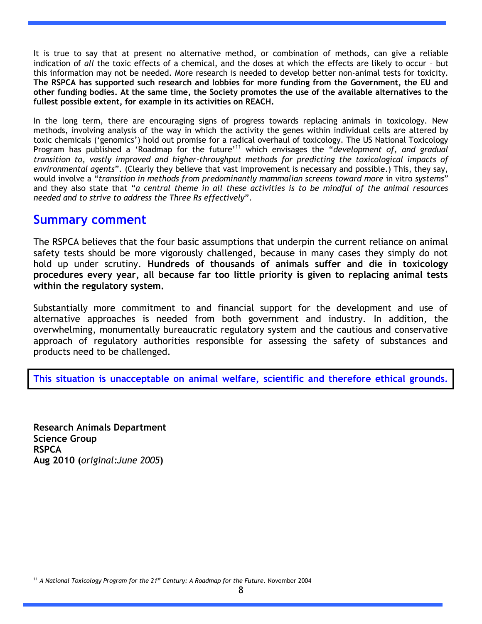It is true to say that at present no alternative method, or combination of methods, can give a reliable indication of *all* the toxic effects of a chemical, and the doses at which the effects are likely to occur – but this information may not be needed. More research is needed to develop better non-animal tests for toxicity. **The RSPCA has supported such research and lobbies for more funding from the Government, the EU and other funding bodies. At the same time, the Society promotes the use of the available alternatives to the fullest possible extent, for example in its activities on REACH.**

In the long term, there are encouraging signs of progress towards replacing animals in toxicology. New methods, involving analysis of the way in which the activity the genes within individual cells are altered by toxic chemicals ("genomics") hold out promise for a radical overhaul of toxicology. The US National Toxicology Program has published a 'Roadmap for the future'<sup>11</sup> which envisages the "*development of, and gradual transition to, vastly improved and higher-throughput methods for predicting the toxicological impacts of environmental agents*"*.* (Clearly they believe that vast improvement is necessary and possible.) This, they say, would involve a "*transition in methods from predominantly mammalian screens toward more* in vitro *systems*" and they also state that "*a central theme in all these activities is to be mindful of the animal resources needed and to strive to address the Three Rs effectively*".

#### **Summary comment**

The RSPCA believes that the four basic assumptions that underpin the current reliance on animal safety tests should be more vigorously challenged, because in many cases they simply do not hold up under scrutiny. **Hundreds of thousands of animals suffer and die in toxicology procedures every year, all because far too little priority is given to replacing animal tests within the regulatory system.** 

Substantially more commitment to and financial support for the development and use of alternative approaches is needed from both government and industry. In addition, the overwhelming, monumentally bureaucratic regulatory system and the cautious and conservative approach of regulatory authorities responsible for assessing the safety of substances and products need to be challenged.

**This situation is unacceptable on animal welfare, scientific and therefore ethical grounds.** 

**Research Animals Department Science Group RSPCA Aug 2010 (***original:June 2005***)**

 $\overline{a}$ <sup>11</sup> *A National Toxicology Program for the 21st Century: A Roadmap for the Future*. November 2004

<sup>8</sup>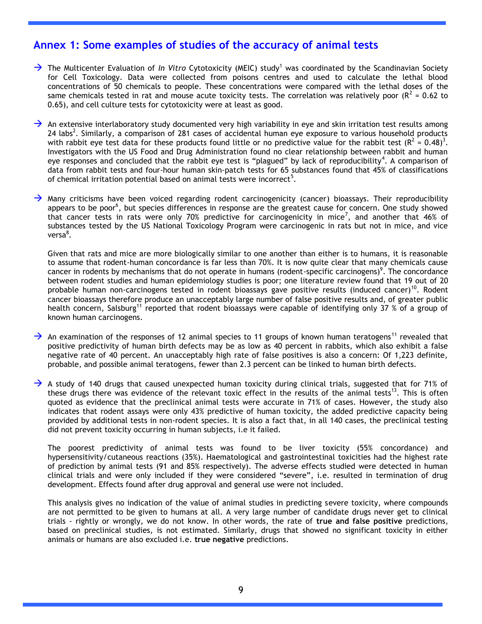#### **Annex 1: Some examples of studies of the accuracy of animal tests**

 $\rightarrow$  The Multicenter Evaluation of *In Vitro* Cytotoxicity (MEIC) study<sup>1</sup> was coordinated by the Scandinavian Society for Cell Toxicology. Data were collected from poisons centres and used to calculate the lethal blood concentrations of 50 chemicals to people. These concentrations were compared with the lethal doses of the same chemicals tested in rat and mouse acute toxicity tests. The correlation was relatively poor ( $R^2$  = 0.62 to 0.65), and cell culture tests for cytotoxicity were at least as good.

 $\rightarrow$  An extensive interlaboratory study documented very high variability in eye and skin irritation test results among 24 labs<sup>2</sup>. Similarly, a comparison of 281 cases of accidental human eye exposure to various household products with rabbit eye test data for these products found little or no predictive value for the rabbit test ( $R^2 = 0.48$ )<sup>3</sup>. Investigators with the US Food and Drug Administration found no clear relationship between rabbit and human eye responses and concluded that the rabbit eye test is "plagued" by lack of reproducibility<sup>4</sup>. A comparison of data from rabbit tests and four-hour human skin-patch tests for 65 substances found that 45% of classifications of chemical irritation potential based on animal tests were incorrect<sup>5</sup>.

 $\rightarrow$  Many criticisms have been voiced regarding rodent carcinogenicity (cancer) bioassays. Their reproducibility appears to be poor<sup>6</sup>, but species differences in response are the greatest cause for concern. One study showed that cancer tests in rats were only 70% predictive for carcinogenicity in mice<sup>7</sup>, and another that 46% of substances tested by the US National Toxicology Program were carcinogenic in rats but not in mice, and vice versa<sup>8</sup>.

Given that rats and mice are more biologically similar to one another than either is to humans, it is reasonable to assume that rodent-human concordance is far less than 70%. It is now quite clear that many chemicals cause cancer in rodents by mechanisms that do not operate in humans (rodent-specific carcinogens)<sup>9</sup>. The concordance between rodent studies and human epidemiology studies is poor; one literature review found that 19 out of 20 probable human non-carcinogens tested in rodent bioassays gave positive results (induced cancer)<sup>10</sup>. Rodent cancer bioassays therefore produce an unacceptably large number of false positive results and, of greater public health concern, Salsburg<sup>11</sup> reported that rodent bioassays were capable of identifying only 37 % of a group of known human carcinogens.

- $\rightarrow$  An examination of the responses of 12 animal species to 11 groups of known human teratogens<sup>11</sup> revealed that positive predictivity of human birth defects may be as low as 40 percent in rabbits, which also exhibit a false negative rate of 40 percent. An unacceptably high rate of false positives is also a concern: Of 1,223 definite, probable, and possible animal teratogens, fewer than 2.3 percent can be linked to human birth defects.
- $\rightarrow$  A study of 140 drugs that caused unexpected human toxicity during clinical trials, suggested that for 71% of these drugs there was evidence of the relevant toxic effect in the results of the animal tests<sup>13</sup>. This is often quoted as evidence that the preclinical animal tests were accurate in 71% of cases. However, the study also indicates that rodent assays were only 43% predictive of human toxicity, the added predictive capacity being provided by additional tests in non-rodent species. It is also a fact that, in all 140 cases, the preclinical testing did not prevent toxicity occurring in human subjects, i.e it failed.

The poorest predictivity of animal tests was found to be liver toxicity (55% concordance) and hypersensitivity/cutaneous reactions (35%). Haematological and gastrointestinal toxicities had the highest rate of prediction by animal tests (91 and 85% respectively). The adverse effects studied were detected in human clinical trials and were only included if they were considered "severe", i.e. resulted in termination of drug development. Effects found after drug approval and general use were not included.

This analysis gives no indication of the value of animal studies in predicting severe toxicity, where compounds are not permitted to be given to humans at all. A very large number of candidate drugs never get to clinical trials - rightly or wrongly, we do not know. In other words, the rate of **true and false positive** predictions, based on preclinical studies, is not estimated. Similarly, drugs that showed no significant toxicity in either animals or humans are also excluded i.e. **true negative** predictions.